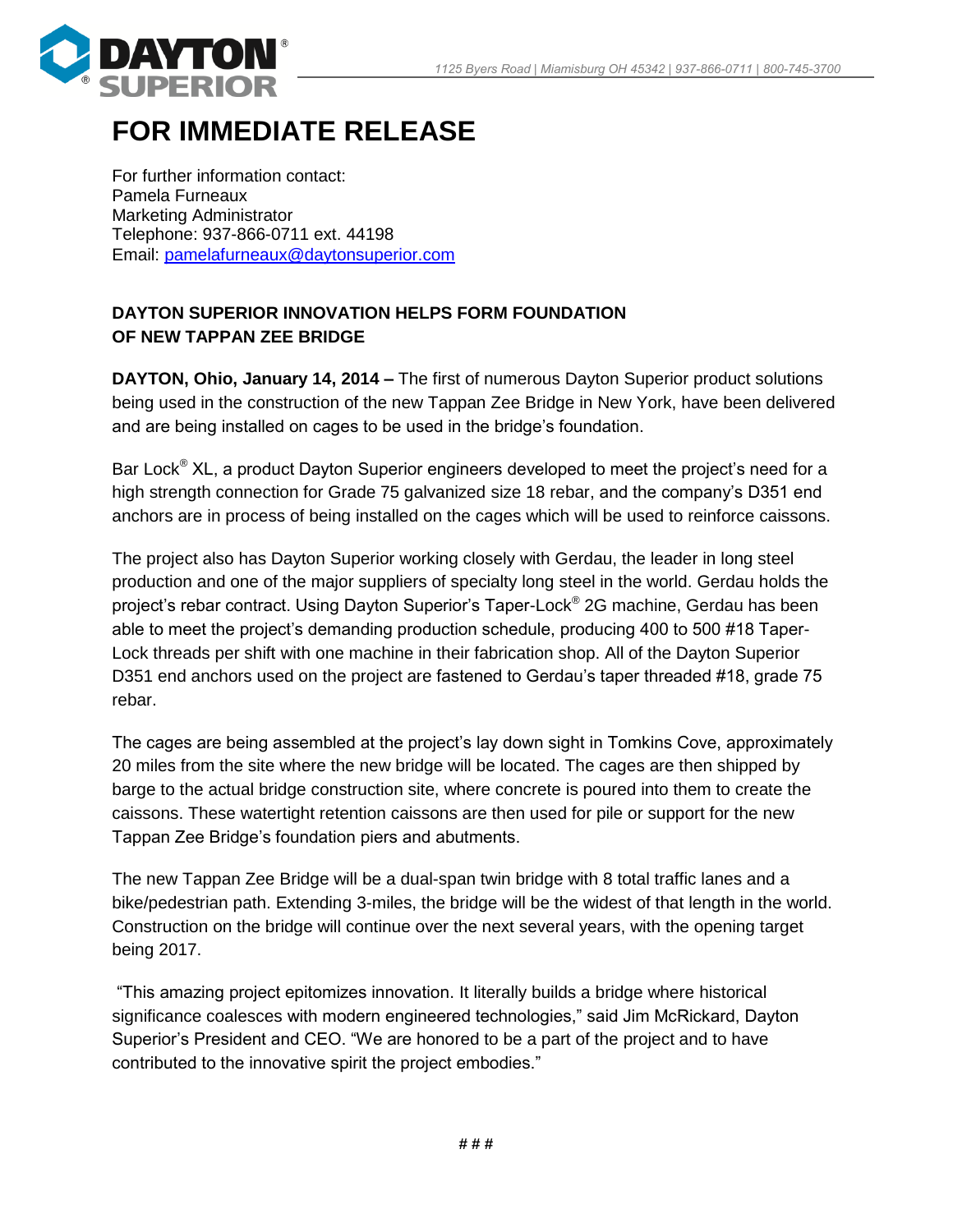

## **FOR IMMEDIATE RELEASE**

For further information contact: Pamela Furneaux Marketing Administrator Telephone: 937-866-0711 ext. 44198 Email: [pamelafurneaux@daytonsuperior.com](mailto:pamelafurneaux@daytonsuperior.com)

## **DAYTON SUPERIOR INNOVATION HELPS FORM FOUNDATION OF NEW TAPPAN ZEE BRIDGE**

**DAYTON, Ohio, January 14, 2014 –** The first of numerous Dayton Superior product solutions being used in the construction of the new Tappan Zee Bridge in New York, have been delivered and are being installed on cages to be used in the bridge's foundation.

Bar Lock<sup>®</sup> XL, a product Dayton Superior engineers developed to meet the project's need for a high strength connection for Grade 75 galvanized size 18 rebar, and the company's D351 end anchors are in process of being installed on the cages which will be used to reinforce caissons.

The project also has Dayton Superior working closely with Gerdau, the leader in long steel production and one of the major suppliers of specialty long steel in the world. Gerdau holds the project's rebar contract. Using Dayton Superior's Taper-Lock® 2G machine, Gerdau has been able to meet the project's demanding production schedule, producing 400 to 500 #18 Taper-Lock threads per shift with one machine in their fabrication shop. All of the Dayton Superior D351 end anchors used on the project are fastened to Gerdau's taper threaded #18, grade 75 rebar.

The cages are being assembled at the project's lay down sight in Tomkins Cove, approximately 20 miles from the site where the new bridge will be located. The cages are then shipped by barge to the actual bridge construction site, where concrete is poured into them to create the caissons. These watertight retention caissons are then used for pile or support for the new Tappan Zee Bridge's foundation piers and abutments.

The new Tappan Zee Bridge will be a dual-span twin bridge with 8 total traffic lanes and a bike/pedestrian path. Extending 3-miles, the bridge will be the widest of that length in the world. Construction on the bridge will continue over the next several years, with the opening target being 2017.

"This amazing project epitomizes innovation. It literally builds a bridge where historical significance coalesces with modern engineered technologies," said Jim McRickard, Dayton Superior's President and CEO. "We are honored to be a part of the project and to have contributed to the innovative spirit the project embodies."